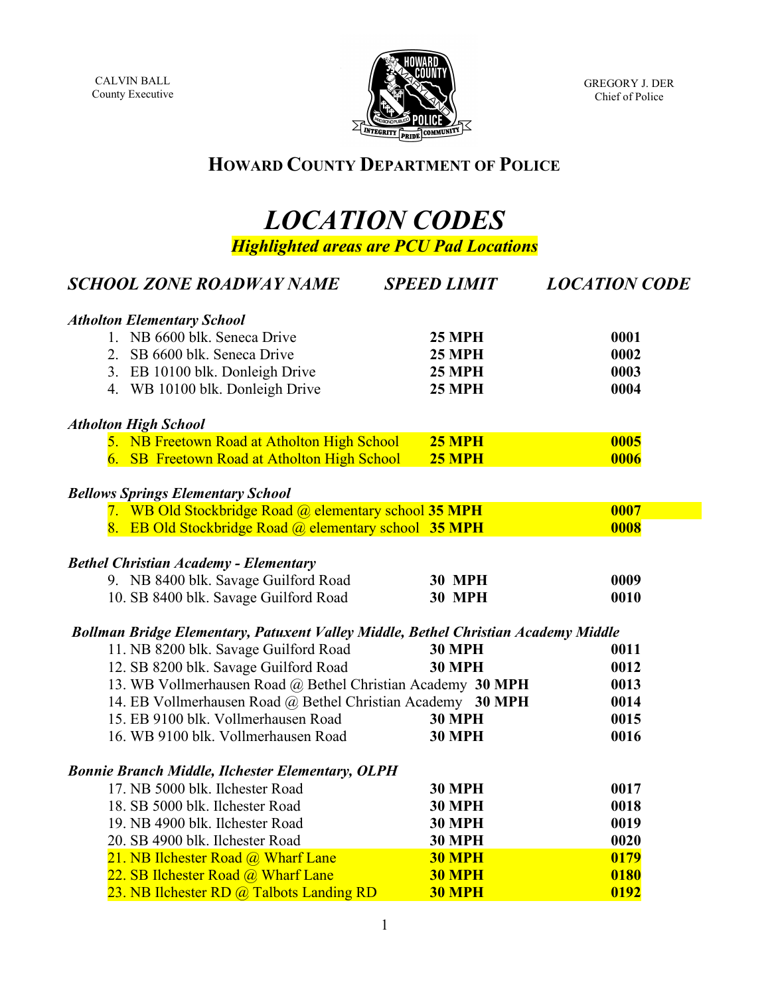CALVIN BALL County Executive



GREGORY J. DER Chief of Police

## **HOWARD COUNTY DEPARTMENT OF POLICE**

## *LOCATION CODES Highlighted areas are PCU Pad Locations*

| <b>Atholton Elementary School</b><br>1. NB 6600 blk. Seneca Drive<br><b>25 MPH</b><br>0001<br>0002<br>2. SB 6600 blk. Seneca Drive<br><b>25 MPH</b><br>0003<br>3. EB 10100 blk. Donleigh Drive<br><b>25 MPH</b><br>4. WB 10100 blk. Donleigh Drive<br>0004<br><b>25 MPH</b><br><b>Atholton High School</b><br>5. NB Freetown Road at Atholton High School<br>0005<br><b>25 MPH</b><br>0006<br>6. SB Freetown Road at Atholton High School<br><b>25 MPH</b><br><b>Bellows Springs Elementary School</b> | <b>LOCATION CODE</b> |  |  |  |  |  |  |
|--------------------------------------------------------------------------------------------------------------------------------------------------------------------------------------------------------------------------------------------------------------------------------------------------------------------------------------------------------------------------------------------------------------------------------------------------------------------------------------------------------|----------------------|--|--|--|--|--|--|
|                                                                                                                                                                                                                                                                                                                                                                                                                                                                                                        |                      |  |  |  |  |  |  |
|                                                                                                                                                                                                                                                                                                                                                                                                                                                                                                        |                      |  |  |  |  |  |  |
|                                                                                                                                                                                                                                                                                                                                                                                                                                                                                                        |                      |  |  |  |  |  |  |
|                                                                                                                                                                                                                                                                                                                                                                                                                                                                                                        |                      |  |  |  |  |  |  |
|                                                                                                                                                                                                                                                                                                                                                                                                                                                                                                        |                      |  |  |  |  |  |  |
|                                                                                                                                                                                                                                                                                                                                                                                                                                                                                                        |                      |  |  |  |  |  |  |
|                                                                                                                                                                                                                                                                                                                                                                                                                                                                                                        |                      |  |  |  |  |  |  |
|                                                                                                                                                                                                                                                                                                                                                                                                                                                                                                        |                      |  |  |  |  |  |  |
|                                                                                                                                                                                                                                                                                                                                                                                                                                                                                                        |                      |  |  |  |  |  |  |
| 7. WB Old Stockbridge Road @ elementary school 35 MPH<br>0007                                                                                                                                                                                                                                                                                                                                                                                                                                          |                      |  |  |  |  |  |  |
| 8. EB Old Stockbridge Road @ elementary school 35 MPH<br>0008                                                                                                                                                                                                                                                                                                                                                                                                                                          |                      |  |  |  |  |  |  |
|                                                                                                                                                                                                                                                                                                                                                                                                                                                                                                        |                      |  |  |  |  |  |  |
| <b>Bethel Christian Academy - Elementary</b>                                                                                                                                                                                                                                                                                                                                                                                                                                                           |                      |  |  |  |  |  |  |
| 9. NB 8400 blk. Savage Guilford Road<br>0009<br><b>30 MPH</b>                                                                                                                                                                                                                                                                                                                                                                                                                                          |                      |  |  |  |  |  |  |
| 10. SB 8400 blk. Savage Guilford Road<br><b>30 MPH</b><br>0010                                                                                                                                                                                                                                                                                                                                                                                                                                         |                      |  |  |  |  |  |  |
| Bollman Bridge Elementary, Patuxent Valley Middle, Bethel Christian Academy Middle                                                                                                                                                                                                                                                                                                                                                                                                                     |                      |  |  |  |  |  |  |
| 11. NB 8200 blk. Savage Guilford Road<br><b>30 MPH</b><br>0011                                                                                                                                                                                                                                                                                                                                                                                                                                         |                      |  |  |  |  |  |  |
| 12. SB 8200 blk. Savage Guilford Road<br><b>30 MPH</b><br>0012                                                                                                                                                                                                                                                                                                                                                                                                                                         |                      |  |  |  |  |  |  |
| 13. WB Vollmerhausen Road @ Bethel Christian Academy 30 MPH<br>0013                                                                                                                                                                                                                                                                                                                                                                                                                                    |                      |  |  |  |  |  |  |
| 14. EB Vollmerhausen Road @ Bethel Christian Academy 30 MPH<br>0014                                                                                                                                                                                                                                                                                                                                                                                                                                    |                      |  |  |  |  |  |  |
| 15. EB 9100 blk. Vollmerhausen Road<br><b>30 MPH</b><br>0015                                                                                                                                                                                                                                                                                                                                                                                                                                           |                      |  |  |  |  |  |  |
| 16. WB 9100 blk. Vollmerhausen Road<br><b>30 MPH</b><br>0016                                                                                                                                                                                                                                                                                                                                                                                                                                           |                      |  |  |  |  |  |  |
| <b>Bonnie Branch Middle, Ilchester Elementary, OLPH</b>                                                                                                                                                                                                                                                                                                                                                                                                                                                |                      |  |  |  |  |  |  |
| 17. NB 5000 blk. Ilchester Road<br><b>30 MPH</b><br>0017                                                                                                                                                                                                                                                                                                                                                                                                                                               |                      |  |  |  |  |  |  |
| 18. SB 5000 blk. Ilchester Road<br><b>30 MPH</b><br>0018                                                                                                                                                                                                                                                                                                                                                                                                                                               |                      |  |  |  |  |  |  |
| 19. NB 4900 blk. Ilchester Road<br><b>30 MPH</b><br>0019                                                                                                                                                                                                                                                                                                                                                                                                                                               |                      |  |  |  |  |  |  |
| 20. SB 4900 blk. Ilchester Road<br><b>30 MPH</b><br>0020                                                                                                                                                                                                                                                                                                                                                                                                                                               |                      |  |  |  |  |  |  |
| 21. NB Ilchester Road @ Wharf Lane<br>0179<br><b>30 MPH</b>                                                                                                                                                                                                                                                                                                                                                                                                                                            |                      |  |  |  |  |  |  |
| 22. SB Ilchester Road @ Wharf Lane<br><b>30 MPH</b><br>0180                                                                                                                                                                                                                                                                                                                                                                                                                                            |                      |  |  |  |  |  |  |
| 23. NB Ilchester RD @ Talbots Landing RD<br>0192<br>30 MPH                                                                                                                                                                                                                                                                                                                                                                                                                                             |                      |  |  |  |  |  |  |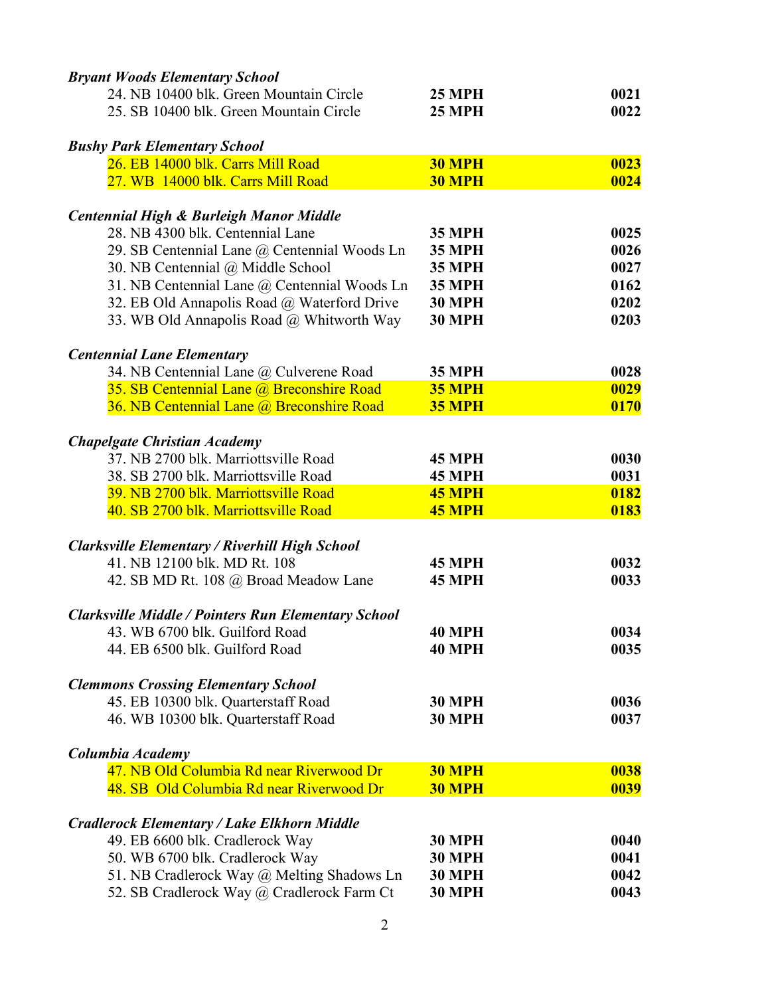| <b>Bryant Woods Elementary School</b>                      |               |      |
|------------------------------------------------------------|---------------|------|
| 24. NB 10400 blk. Green Mountain Circle                    | <b>25 MPH</b> | 0021 |
| 25. SB 10400 blk. Green Mountain Circle                    | <b>25 MPH</b> | 0022 |
| <b>Bushy Park Elementary School</b>                        |               |      |
| 26. EB 14000 blk. Carrs Mill Road                          | <b>30 MPH</b> | 0023 |
| 27. WB 14000 blk. Carrs Mill Road                          | <b>30 MPH</b> | 0024 |
| <b>Centennial High &amp; Burleigh Manor Middle</b>         |               |      |
| 28. NB 4300 blk. Centennial Lane                           | <b>35 MPH</b> | 0025 |
| 29. SB Centennial Lane @ Centennial Woods Ln               | <b>35 MPH</b> | 0026 |
| 30. NB Centennial @ Middle School                          | <b>35 MPH</b> | 0027 |
| 31. NB Centennial Lane @ Centennial Woods Ln               | <b>35 MPH</b> | 0162 |
| 32. EB Old Annapolis Road @ Waterford Drive                | <b>30 MPH</b> | 0202 |
| 33. WB Old Annapolis Road @ Whitworth Way                  | <b>30 MPH</b> | 0203 |
| <b>Centennial Lane Elementary</b>                          |               |      |
| 34. NB Centennial Lane @ Culverene Road                    | <b>35 MPH</b> | 0028 |
| 35. SB Centennial Lane @ Breconshire Road                  | <b>35 MPH</b> | 0029 |
| 36. NB Centennial Lane @ Breconshire Road                  | <b>35 MPH</b> | 0170 |
|                                                            |               |      |
| <b>Chapelgate Christian Academy</b>                        |               |      |
| 37. NB 2700 blk. Marriottsville Road                       | <b>45 MPH</b> | 0030 |
| 38. SB 2700 blk. Marriottsville Road                       | <b>45 MPH</b> | 0031 |
| 39. NB 2700 blk. Marriottsville Road                       | 45 MPH        | 0182 |
| 40. SB 2700 blk. Marriottsville Road                       | <b>45 MPH</b> | 0183 |
| <b>Clarksville Elementary / Riverhill High School</b>      |               |      |
| 41. NB 12100 blk. MD Rt. 108                               | <b>45 MPH</b> | 0032 |
| 42. SB MD Rt. 108 @ Broad Meadow Lane                      | <b>45 MPH</b> | 0033 |
| <b>Clarksville Middle / Pointers Run Elementary School</b> |               |      |
| 43. WB 6700 blk. Guilford Road                             | <b>40 MPH</b> | 0034 |
| 44. EB 6500 blk. Guilford Road                             | <b>40 MPH</b> | 0035 |
| <b>Clemmons Crossing Elementary School</b>                 |               |      |
| 45. EB 10300 blk. Quarterstaff Road                        | <b>30 MPH</b> | 0036 |
| 46. WB 10300 blk. Quarterstaff Road                        | <b>30 MPH</b> | 0037 |
| Columbia Academy                                           |               |      |
| 47. NB Old Columbia Rd near Riverwood Dr                   | <b>30 MPH</b> | 0038 |
| 48. SB Old Columbia Rd near Riverwood Dr                   | 30 MPH        | 0039 |
| <b>Cradlerock Elementary / Lake Elkhorn Middle</b>         |               |      |
| 49. EB 6600 blk. Cradlerock Way                            | <b>30 MPH</b> | 0040 |
| 50. WB 6700 blk. Cradlerock Way                            | <b>30 MPH</b> | 0041 |
| 51. NB Cradlerock Way @ Melting Shadows Ln                 | <b>30 MPH</b> | 0042 |
| 52. SB Cradlerock Way @ Cradlerock Farm Ct                 | <b>30 MPH</b> | 0043 |
|                                                            |               |      |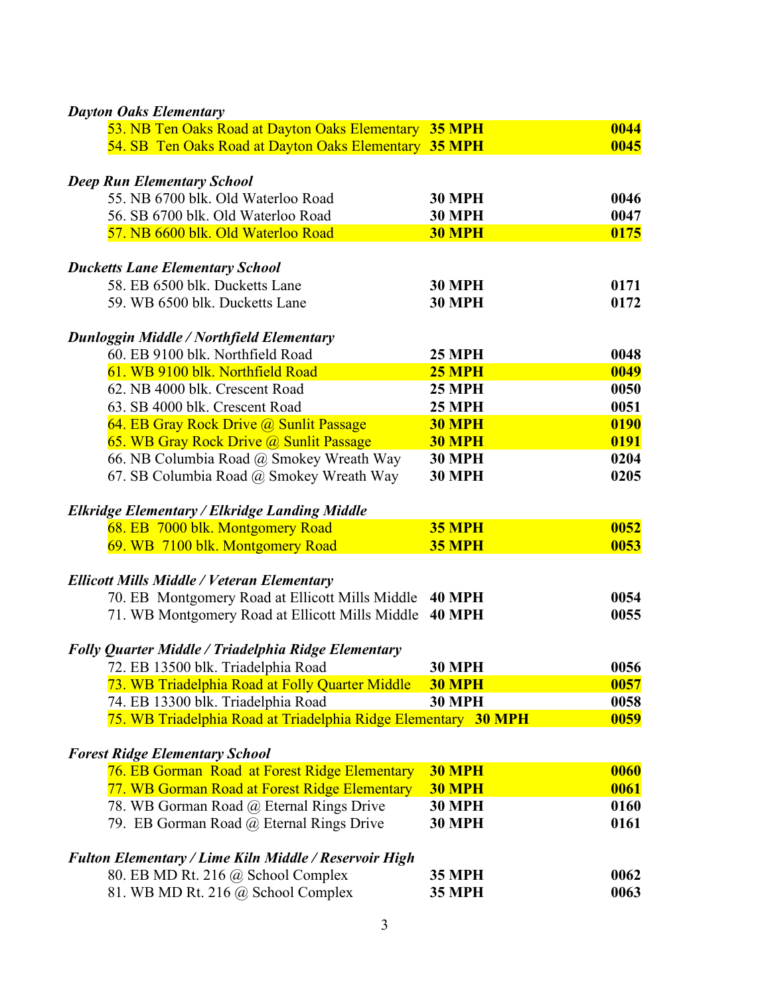| <b>Dayton Oaks Elementary</b>                                  |               |             |
|----------------------------------------------------------------|---------------|-------------|
| 53. NB Ten Oaks Road at Dayton Oaks Elementary 35 MPH          |               | 0044        |
| 54. SB Ten Oaks Road at Dayton Oaks Elementary 35 MPH          |               | 0045        |
| <b>Deep Run Elementary School</b>                              |               |             |
| 55. NB 6700 blk. Old Waterloo Road                             | <b>30 MPH</b> | 0046        |
| 56. SB 6700 blk. Old Waterloo Road                             | <b>30 MPH</b> | 0047        |
| 57. NB 6600 blk. Old Waterloo Road                             | <b>30 MPH</b> | 0175        |
|                                                                |               |             |
| <b>Ducketts Lane Elementary School</b>                         |               |             |
| 58. EB 6500 blk. Ducketts Lane                                 | <b>30 MPH</b> | 0171        |
| 59. WB 6500 blk. Ducketts Lane                                 | <b>30 MPH</b> | 0172        |
|                                                                |               |             |
| Dunloggin Middle / Northfield Elementary                       |               |             |
| 60. EB 9100 blk. Northfield Road                               | <b>25 MPH</b> | 0048        |
| 61. WB 9100 blk. Northfield Road                               | <b>25 MPH</b> | 0049        |
| 62. NB 4000 blk. Crescent Road                                 | <b>25 MPH</b> | 0050        |
| 63. SB 4000 blk. Crescent Road                                 | <b>25 MPH</b> | 0051        |
| 64. EB Gray Rock Drive @ Sunlit Passage                        | <b>30 MPH</b> | 0190        |
| 65. WB Gray Rock Drive @ Sunlit Passage                        | <b>30 MPH</b> | 0191        |
| 66. NB Columbia Road @ Smokey Wreath Way                       | <b>30 MPH</b> | 0204        |
| 67. SB Columbia Road @ Smokey Wreath Way                       | <b>30 MPH</b> | 0205        |
|                                                                |               |             |
| <b>Elkridge Elementary / Elkridge Landing Middle</b>           |               |             |
| 68. EB 7000 blk. Montgomery Road                               | <b>35 MPH</b> | 0052        |
| 69. WB 7100 blk. Montgomery Road                               | <b>35 MPH</b> | 0053        |
|                                                                |               |             |
| <b>Ellicott Mills Middle / Veteran Elementary</b>              |               |             |
| 70. EB Montgomery Road at Ellicott Mills Middle                | <b>40 MPH</b> | 0054        |
| 71. WB Montgomery Road at Ellicott Mills Middle                | <b>40 MPH</b> | 0055        |
|                                                                |               |             |
| Folly Quarter Middle / Triadelphia Ridge Elementary            |               |             |
| 72. EB 13500 blk. Triadelphia Road                             | <b>30 MPH</b> | 0056        |
| 73. WB Triadelphia Road at Folly Quarter Middle                | <b>30 MPH</b> | 0057        |
| 74. EB 13300 blk. Triadelphia Road                             | <b>30 MPH</b> | 0058        |
| 75. WB Triadelphia Road at Triadelphia Ridge Elementary 30 MPH |               | 0059        |
|                                                                |               |             |
| <b>Forest Ridge Elementary School</b>                          |               |             |
| 76. EB Gorman Road at Forest Ridge Elementary                  | <b>30 MPH</b> | 0060        |
| 77. WB Gorman Road at Forest Ridge Elementary                  | <b>30 MPH</b> | <b>0061</b> |
| 78. WB Gorman Road @ Eternal Rings Drive                       | <b>30 MPH</b> | 0160        |
| 79. EB Gorman Road @ Eternal Rings Drive                       | <b>30 MPH</b> | 0161        |
|                                                                |               |             |
| <b>Fulton Elementary / Lime Kiln Middle / Reservoir High</b>   |               |             |
| 80. EB MD Rt. 216 @ School Complex                             | <b>35 MPH</b> | 0062        |
| 81. WB MD Rt. 216 @ School Complex                             | <b>35 MPH</b> | 0063        |
|                                                                |               |             |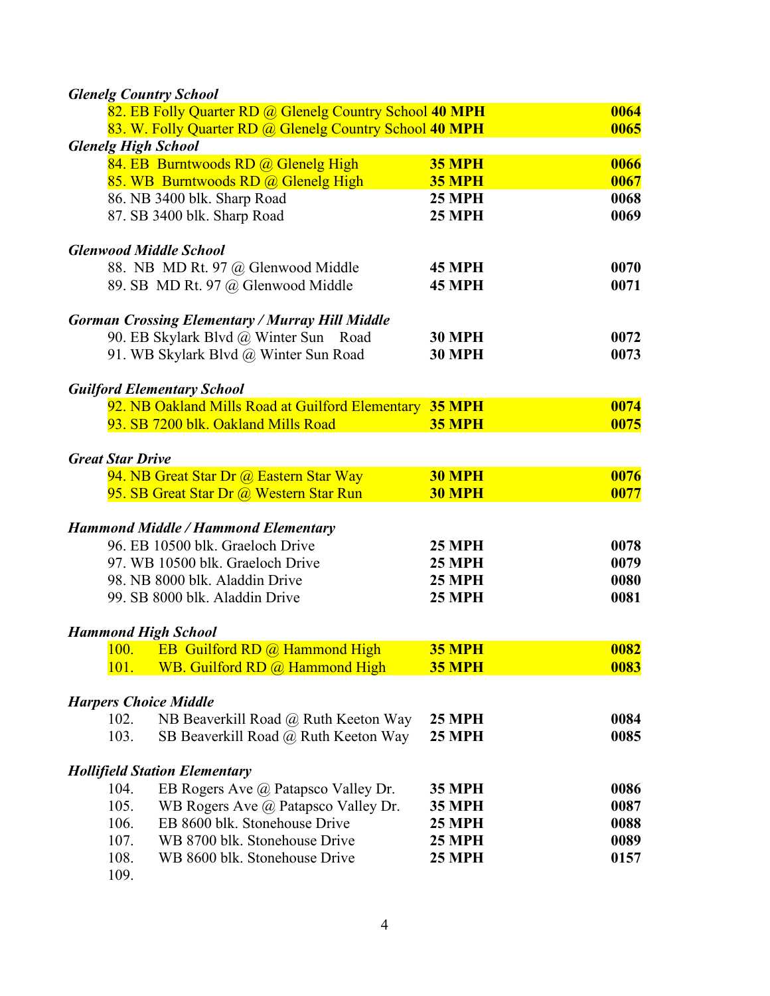| <b>Glenelg Country School</b>                                                  |               |      |
|--------------------------------------------------------------------------------|---------------|------|
| 82. EB Folly Quarter RD @ Glenelg Country School 40 MPH                        |               | 0064 |
| 83. W. Folly Quarter RD @ Glenelg Country School 40 MPH                        |               | 0065 |
| <b>Glenelg High School</b>                                                     |               |      |
| 84. EB Burntwoods RD @ Glenelg High                                            | <b>35 MPH</b> | 0066 |
| 85. WB Burntwoods RD @ Glenelg High                                            | <b>35 MPH</b> | 0067 |
| 86. NB 3400 blk. Sharp Road                                                    | <b>25 MPH</b> | 0068 |
| 87. SB 3400 blk. Sharp Road                                                    | <b>25 MPH</b> | 0069 |
|                                                                                |               |      |
| <b>Glenwood Middle School</b>                                                  |               |      |
| 88. NB MD Rt. 97 @ Glenwood Middle                                             | <b>45 MPH</b> | 0070 |
| 89. SB MD Rt. 97 @ Glenwood Middle                                             | <b>45 MPH</b> | 0071 |
|                                                                                |               |      |
| <b>Gorman Crossing Elementary / Murray Hill Middle</b>                         |               |      |
| 90. EB Skylark Blvd @ Winter Sun Road                                          | <b>30 MPH</b> | 0072 |
| 91. WB Skylark Blvd @ Winter Sun Road                                          | <b>30 MPH</b> | 0073 |
|                                                                                |               |      |
| <b>Guilford Elementary School</b>                                              |               |      |
| 92. NB Oakland Mills Road at Guilford Elementary 35 MPH                        |               | 0074 |
| 93. SB 7200 blk. Oakland Mills Road                                            | <b>35 MPH</b> | 0075 |
|                                                                                |               |      |
| <b>Great Star Drive</b>                                                        |               |      |
| 94. NB Great Star Dr @ Eastern Star Way                                        | <b>30 MPH</b> | 0076 |
| 95. SB Great Star Dr @ Western Star Run                                        | <b>30 MPH</b> | 0077 |
|                                                                                |               |      |
| <b>Hammond Middle / Hammond Elementary</b><br>96. EB 10500 blk. Graeloch Drive |               | 0078 |
|                                                                                | <b>25 MPH</b> |      |
| 97. WB 10500 blk. Graeloch Drive                                               | <b>25 MPH</b> | 0079 |
| 98. NB 8000 blk. Aladdin Drive                                                 | <b>25 MPH</b> | 0080 |
| 99. SB 8000 blk. Aladdin Drive                                                 | <b>25 MPH</b> | 0081 |
| <b>Hammond High School</b>                                                     |               |      |
| <b>EB</b> Guilford RD @ Hammond High<br><b>100.</b>                            | <b>35 MPH</b> | 0082 |
| WB. Guilford RD @ Hammond High<br><u>101.</u>                                  | <b>35 MPH</b> | 0083 |
|                                                                                |               |      |
| <b>Harpers Choice Middle</b>                                                   |               |      |
| NB Beaverkill Road @ Ruth Keeton Way<br>102.                                   | <b>25 MPH</b> | 0084 |
| 103.<br>SB Beaverkill Road @ Ruth Keeton Way                                   | <b>25 MPH</b> | 0085 |
|                                                                                |               |      |
| <b>Hollifield Station Elementary</b>                                           |               |      |
| 104.<br>EB Rogers Ave @ Patapsco Valley Dr.                                    | <b>35 MPH</b> | 0086 |
| 105.<br>WB Rogers Ave @ Patapsco Valley Dr.                                    | <b>35 MPH</b> | 0087 |
| EB 8600 blk. Stonehouse Drive<br>106.                                          | <b>25 MPH</b> | 0088 |
| 107.<br>WB 8700 blk. Stonehouse Drive                                          | <b>25 MPH</b> | 0089 |
| 108.<br>WB 8600 blk. Stonehouse Drive                                          | <b>25 MPH</b> | 0157 |
| 109.                                                                           |               |      |

4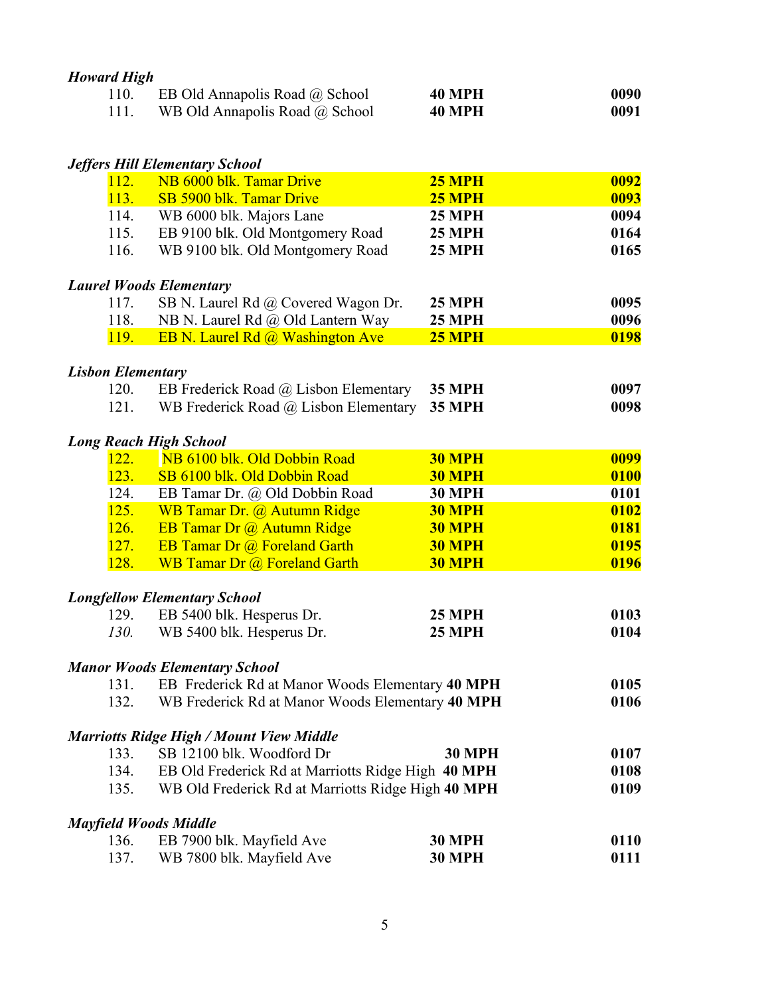| <b>Howard High</b>       |                                                    |               |      |
|--------------------------|----------------------------------------------------|---------------|------|
| 110.                     | EB Old Annapolis Road @ School                     | <b>40 MPH</b> | 0090 |
| 111.                     | WB Old Annapolis Road @ School                     | <b>40 MPH</b> | 0091 |
|                          |                                                    |               |      |
|                          | <b>Jeffers Hill Elementary School</b>              |               |      |
| 112.                     | NB 6000 blk. Tamar Drive                           | <b>25 MPH</b> | 0092 |
| 113.                     | SB 5900 blk. Tamar Drive                           | <b>25 MPH</b> | 0093 |
| 114.                     | WB 6000 blk. Majors Lane                           | <b>25 MPH</b> | 0094 |
| 115.                     | EB 9100 blk. Old Montgomery Road                   | <b>25 MPH</b> | 0164 |
| 116.                     | WB 9100 blk. Old Montgomery Road                   | <b>25 MPH</b> | 0165 |
|                          | <b>Laurel Woods Elementary</b>                     |               |      |
| 117.                     | SB N. Laurel Rd @ Covered Wagon Dr.                | <b>25 MPH</b> | 0095 |
| 118.                     | NB N. Laurel Rd @ Old Lantern Way                  | <b>25 MPH</b> | 0096 |
| <b>119.</b>              | EB N. Laurel Rd @ Washington Ave                   | <b>25 MPH</b> | 0198 |
| <b>Lisbon Elementary</b> |                                                    |               |      |
| 120.                     | EB Frederick Road @ Lisbon Elementary              | <b>35 MPH</b> | 0097 |
| 121.                     | WB Frederick Road @ Lisbon Elementary              | <b>35 MPH</b> | 0098 |
|                          |                                                    |               |      |
|                          | <b>Long Reach High School</b>                      |               |      |
| 122.                     | NB 6100 blk. Old Dobbin Road                       | <b>30 MPH</b> | 0099 |
| 123.                     | SB 6100 blk. Old Dobbin Road                       | 30 MPH        | 0100 |
| 124.                     | EB Tamar Dr. @ Old Dobbin Road                     | <b>30 MPH</b> | 0101 |
| 125.                     | WB Tamar Dr. @ Autumn Ridge                        | <b>30 MPH</b> | 0102 |
| 126.                     | EB Tamar Dr @ Autumn Ridge                         | <b>30 MPH</b> | 0181 |
| 127.                     | EB Tamar Dr @ Foreland Garth                       | <b>30 MPH</b> | 0195 |
| 128.                     | <b>WB Tamar Dr @ Foreland Garth</b>                | <b>30 MPH</b> | 0196 |
|                          | <b>Longfellow Elementary School</b>                |               |      |
| 129.                     | EB 5400 blk. Hesperus Dr.                          | <b>25 MPH</b> | 0103 |
| 130.                     | WB 5400 blk. Hesperus Dr.                          | <b>25 MPH</b> | 0104 |
|                          | <b>Manor Woods Elementary School</b>               |               |      |
| 131.                     | EB Frederick Rd at Manor Woods Elementary 40 MPH   |               | 0105 |
| 132.                     | WB Frederick Rd at Manor Woods Elementary 40 MPH   |               | 0106 |
|                          | <b>Marriotts Ridge High / Mount View Middle</b>    |               |      |
| 133.                     | SB 12100 blk. Woodford Dr                          | <b>30 MPH</b> | 0107 |
| 134.                     | EB Old Frederick Rd at Marriotts Ridge High 40 MPH |               | 0108 |
| 135.                     | WB Old Frederick Rd at Marriotts Ridge High 40 MPH |               | 0109 |
|                          |                                                    |               |      |
|                          | <b>Mayfield Woods Middle</b>                       |               |      |
| 136.                     | EB 7900 blk. Mayfield Ave                          | <b>30 MPH</b> | 0110 |
| 137.                     | WB 7800 blk. Mayfield Ave                          | <b>30 MPH</b> | 0111 |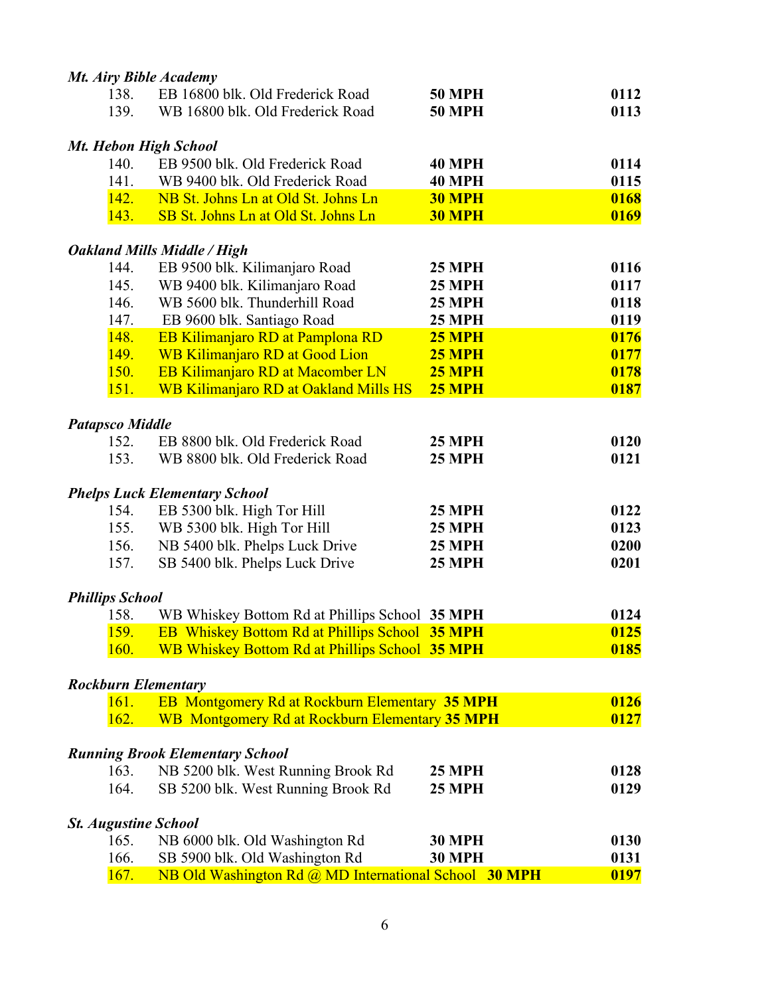|                        | Mt. Airy Bible Academy                                |               |      |
|------------------------|-------------------------------------------------------|---------------|------|
| 138.                   | EB 16800 blk. Old Frederick Road                      | <b>50 MPH</b> | 0112 |
| 139.                   | WB 16800 blk. Old Frederick Road                      | <b>50 MPH</b> | 0113 |
|                        | Mt. Hebon High School                                 |               |      |
| 140.                   | EB 9500 blk. Old Frederick Road                       | <b>40 MPH</b> | 0114 |
| 141.                   | WB 9400 blk. Old Frederick Road                       | <b>40 MPH</b> | 0115 |
| 142.                   | NB St. Johns Ln at Old St. Johns Ln                   | <b>30 MPH</b> | 0168 |
| 143.                   | SB St. Johns Ln at Old St. Johns Ln                   | <b>30 MPH</b> | 0169 |
|                        | <b>Oakland Mills Middle / High</b>                    |               |      |
| 144.                   | EB 9500 blk. Kilimanjaro Road                         | <b>25 MPH</b> | 0116 |
| 145.                   | WB 9400 blk. Kilimanjaro Road                         | <b>25 MPH</b> | 0117 |
| 146.                   | WB 5600 blk. Thunderhill Road                         | <b>25 MPH</b> | 0118 |
| 147.                   | EB 9600 blk. Santiago Road                            | <b>25 MPH</b> | 0119 |
| 148.                   | EB Kilimanjaro RD at Pamplona RD                      | <b>25 MPH</b> | 0176 |
| <b>149.</b>            | <b>WB Kilimanjaro RD at Good Lion</b>                 | <b>25 MPH</b> | 0177 |
| 150.                   | EB Kilimanjaro RD at Macomber LN                      | <b>25 MPH</b> | 0178 |
| 151.                   | <b>WB Kilimanjaro RD at Oakland Mills HS</b>          | <b>25 MPH</b> | 0187 |
| <b>Patapsco Middle</b> |                                                       |               |      |
| 152.                   | EB 8800 blk. Old Frederick Road                       | <b>25 MPH</b> | 0120 |
| 153.                   | WB 8800 blk. Old Frederick Road                       | <b>25 MPH</b> | 0121 |
|                        | <b>Phelps Luck Elementary School</b>                  |               |      |
| 154.                   | EB 5300 blk. High Tor Hill                            | <b>25 MPH</b> | 0122 |
| 155.                   | WB 5300 blk. High Tor Hill                            | <b>25 MPH</b> | 0123 |
| 156.                   | NB 5400 blk. Phelps Luck Drive                        | <b>25 MPH</b> | 0200 |
| 157.                   | SB 5400 blk. Phelps Luck Drive                        | <b>25 MPH</b> | 0201 |
| <b>Phillips School</b> |                                                       |               |      |
| 158.                   | WB Whiskey Bottom Rd at Phillips School 35 MPH        |               | 0124 |
| 159.                   | EB Whiskey Bottom Rd at Phillips School 35 MPH        |               | 0125 |
| 160.                   | <b>WB Whiskey Bottom Rd at Phillips School 35 MPH</b> |               | 0185 |
|                        | <b>Rockburn Elementary</b>                            |               |      |
| 161.                   | <b>EB Montgomery Rd at Rockburn Elementary 35 MPH</b> |               | 0126 |
| 162.                   | WB Montgomery Rd at Rockburn Elementary 35 MPH        |               | 0127 |
|                        | <b>Running Brook Elementary School</b>                |               |      |
| 163.                   | NB 5200 blk. West Running Brook Rd                    | <b>25 MPH</b> | 0128 |
| 164.                   | SB 5200 blk. West Running Brook Rd                    | <b>25 MPH</b> | 0129 |
|                        |                                                       |               |      |
|                        | <b>St. Augustine School</b>                           |               |      |
| 165.                   | NB 6000 blk. Old Washington Rd                        | <b>30 MPH</b> | 0130 |
| 166.                   | SB 5900 blk. Old Washington Rd                        | <b>30 MPH</b> | 0131 |
| 167.                   | NB Old Washington Rd @ MD International School 30 MPH |               | 0197 |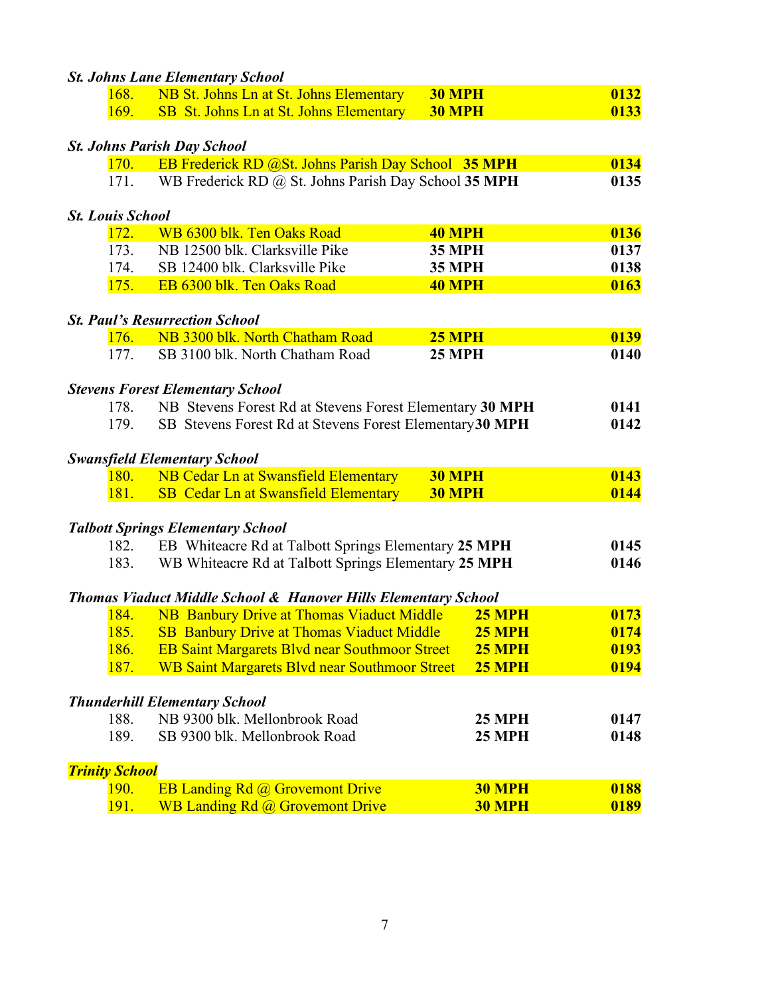|                         | <b>St. Johns Lane Elementary School</b>                                   |               |      |
|-------------------------|---------------------------------------------------------------------------|---------------|------|
| 168.                    | NB St. Johns Ln at St. Johns Elementary                                   | <b>30 MPH</b> | 0132 |
| 169.                    | SB St. Johns Ln at St. Johns Elementary                                   | <b>30 MPH</b> | 0133 |
|                         |                                                                           |               |      |
|                         | <b>St. Johns Parish Day School</b>                                        |               |      |
| 170.                    | EB Frederick RD @St. Johns Parish Day School 35 MPH                       |               | 0134 |
| 171.                    | WB Frederick RD @ St. Johns Parish Day School 35 MPH                      |               | 0135 |
| <b>St. Louis School</b> |                                                                           |               |      |
| 172.                    | WB 6300 blk. Ten Oaks Road                                                | <b>40 MPH</b> | 0136 |
| 173.                    | NB 12500 blk. Clarksville Pike                                            | <b>35 MPH</b> | 0137 |
| 174.                    | SB 12400 blk. Clarksville Pike                                            | <b>35 MPH</b> | 0138 |
| 175.                    | EB 6300 blk. Ten Oaks Road                                                | <b>40 MPH</b> | 0163 |
|                         |                                                                           |               |      |
|                         | <b>St. Paul's Resurrection School</b>                                     |               |      |
| 176.                    | NB 3300 blk. North Chatham Road                                           | <b>25 MPH</b> | 0139 |
| 177.                    | SB 3100 blk. North Chatham Road                                           | <b>25 MPH</b> | 0140 |
|                         | <b>Stevens Forest Elementary School</b>                                   |               |      |
| 178.                    | NB Stevens Forest Rd at Stevens Forest Elementary 30 MPH                  |               | 0141 |
| 179.                    | SB Stevens Forest Rd at Stevens Forest Elementary 30 MPH                  |               | 0142 |
|                         |                                                                           |               |      |
|                         | <b>Swansfield Elementary School</b>                                       |               |      |
| <b>180.</b>             | NB Cedar Ln at Swansfield Elementary                                      | <b>30 MPH</b> | 0143 |
| 181.                    | SB Cedar Ln at Swansfield Elementary                                      | <b>30 MPH</b> | 0144 |
|                         |                                                                           |               |      |
|                         | <b>Talbott Springs Elementary School</b>                                  |               | 0145 |
| 182.<br>183.            | EB Whiteacre Rd at Talbott Springs Elementary 25 MPH                      |               | 0146 |
|                         | WB Whiteacre Rd at Talbott Springs Elementary 25 MPH                      |               |      |
|                         | <b>Thomas Viaduct Middle School &amp; Hanover Hills Elementary School</b> |               |      |
| 184.                    | <b>NB Banbury Drive at Thomas Viaduct Middle</b>                          | <b>25 MPH</b> | 0173 |
| 185.                    | <b>SB</b> Banbury Drive at Thomas Viaduct Middle                          | <b>25 MPH</b> | 0174 |
| 186.                    | <b>EB Saint Margarets Blvd near Southmoor Street</b>                      | <b>25 MPH</b> | 0193 |
| 187.                    | <b>WB Saint Margarets Blvd near Southmoor Street</b>                      | <b>25 MPH</b> | 0194 |
|                         |                                                                           |               |      |
|                         | <b>Thunderhill Elementary School</b>                                      |               |      |
| 188.                    | NB 9300 blk. Mellonbrook Road                                             | <b>25 MPH</b> | 0147 |
| 189.                    | SB 9300 blk. Mellonbrook Road                                             | <b>25 MPH</b> | 0148 |
| <b>Trinity School</b>   |                                                                           |               |      |
| <b>190.</b>             | <b>EB Landing Rd @ Grovemont Drive</b>                                    | <b>30 MPH</b> | 0188 |
| <b>191.</b>             | WB Landing Rd @ Grovemont Drive                                           | <b>30 MPH</b> | 0189 |
|                         |                                                                           |               |      |